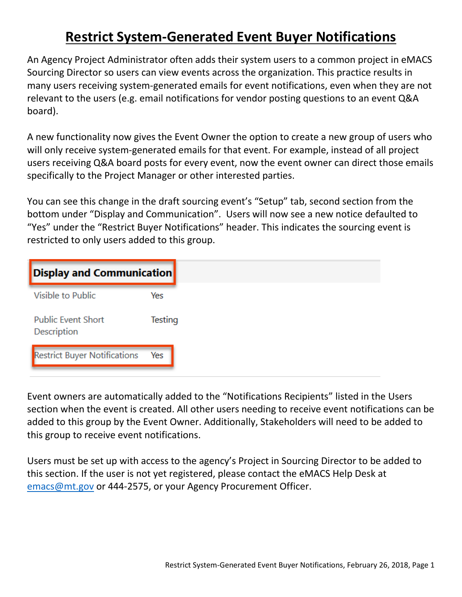## **Restrict System-Generated Event Buyer Notifications**

An Agency Project Administrator often adds their system users to a common project in eMACS Sourcing Director so users can view events across the organization. This practice results in many users receiving system-generated emails for event notifications, even when they are not relevant to the users (e.g. email notifications for vendor posting questions to an event Q&A board).

A new functionality now gives the Event Owner the option to create a new group of users who will only receive system-generated emails for that event. For example, instead of all project users receiving Q&A board posts for every event, now the event owner can direct those emails specifically to the Project Manager or other interested parties.

You can see this change in the draft sourcing event's "Setup" tab, second section from the bottom under "Display and Communication". Users will now see a new notice defaulted to "Yes" under the "Restrict Buyer Notifications" header. This indicates the sourcing event is restricted to only users added to this group.

| <b>Display and Communication</b>         |         |
|------------------------------------------|---------|
| Visible to Public                        | Yes     |
| <b>Public Event Short</b><br>Description | Testing |
| <b>Restrict Buyer Notifications</b>      | Yes     |

Event owners are automatically added to the "Notifications Recipients" listed in the Users section when the event is created. All other users needing to receive event notifications can be added to this group by the Event Owner. Additionally, Stakeholders will need to be added to this group to receive event notifications.

Users must be set up with access to the agency's Project in Sourcing Director to be added to this section. If the user is not yet registered, please contact the eMACS Help Desk at [emacs@mt.gov](mailto:emacs@mt.gov) or 444-2575, or your Agency Procurement Officer.